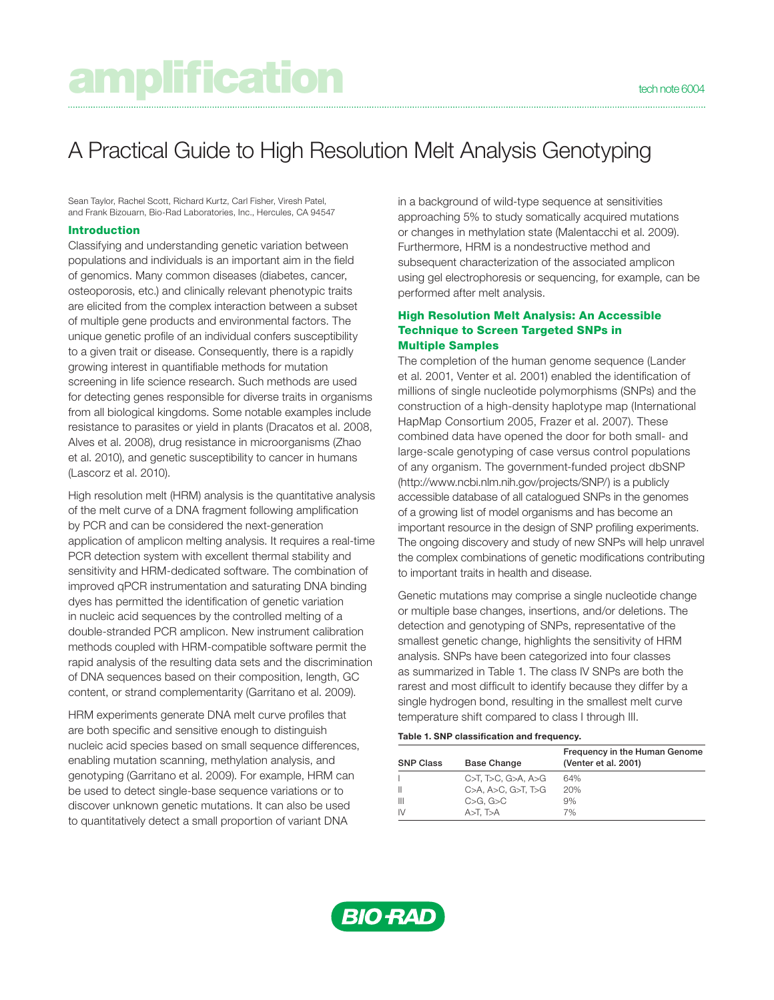# amplification **technology**

## A Practical Guide to High Resolution Melt Analysis Genotyping

Sean Taylor, Rachel Scott, Richard Kurtz, Carl Fisher, Viresh Patel, and Frank Bizouarn, Bio-Rad Laboratories, Inc., Hercules, CA 94547

#### Introduction

Classifying and understanding genetic variation between populations and individuals is an important aim in the field of genomics. Many common diseases (diabetes, cancer, osteoporosis, etc.) and clinically relevant phenotypic traits are elicited from the complex interaction between a subset of multiple gene products and environmental factors. The unique genetic profile of an individual confers susceptibility to a given trait or disease. Consequently, there is a rapidly growing interest in quantifiable methods for mutation screening in life science research. Such methods are used for detecting genes responsible for diverse traits in organisms from all biological kingdoms. Some notable examples include resistance to parasites or yield in plants (Dracatos et al. 2008, Alves et al. 2008), drug resistance in microorganisms (Zhao et al. 2010), and genetic susceptibility to cancer in humans (Lascorz et al. 2010).

High resolution melt (HRM) analysis is the quantitative analysis of the melt curve of a DNA fragment following amplification by PCR and can be considered the next-generation application of amplicon melting analysis. It requires a real-time PCR detection system with excellent thermal stability and sensitivity and HRM-dedicated software. The combination of improved qPCR instrumentation and saturating DNA binding dyes has permitted the identification of genetic variation in nucleic acid sequences by the controlled melting of a double-stranded PCR amplicon. New instrument calibration methods coupled with HRM-compatible software permit the rapid analysis of the resulting data sets and the discrimination of DNA sequences based on their composition, length, GC content, or strand complementarity (Garritano et al. 2009).

HRM experiments generate DNA melt curve profiles that are both specific and sensitive enough to distinguish nucleic acid species based on small sequence differences, enabling mutation scanning, methylation analysis, and genotyping (Garritano et al. 2009). For example, HRM can be used to detect single-base sequence variations or to discover unknown genetic mutations. It can also be used to quantitatively detect a small proportion of variant DNA

in a background of wild-type sequence at sensitivities approaching 5% to study somatically acquired mutations or changes in methylation state (Malentacchi et al. 2009). Furthermore, HRM is a nondestructive method and subsequent characterization of the associated amplicon using gel electrophoresis or sequencing, for example, can be performed after melt analysis.

#### High Resolution Melt Analysis: An Accessible Technique to Screen Targeted SNPs in Multiple Samples

The completion of the human genome sequence (Lander et al. 2001, Venter et al. 2001) enabled the identification of millions of single nucleotide polymorphisms (SNPs) and the construction of a high-density haplotype map (International HapMap Consortium 2005, Frazer et al. 2007). These combined data have opened the door for both small- and large-scale genotyping of case versus control populations of any organism. The government-funded project dbSNP (http://www.ncbi.nlm.nih.gov/projects/SNP/) is a publicly accessible database of all catalogued SNPs in the genomes of a growing list of model organisms and has become an important resource in the design of SNP profiling experiments. The ongoing discovery and study of new SNPs will help unravel the complex combinations of genetic modifications contributing to important traits in health and disease.

Genetic mutations may comprise a single nucleotide change or multiple base changes, insertions, and/or deletions. The detection and genotyping of SNPs, representative of the smallest genetic change, highlights the sensitivity of HRM analysis. SNPs have been categorized into four classes as summarized in Table 1. The class IV SNPs are both the rarest and most difficult to identify because they differ by a single hydrogen bond, resulting in the smallest melt curve temperature shift compared to class I through III.

### Table 1. SNP classification and frequency.

| <b>Base Change</b>                 | Frequency in the Human Genome<br>(Venter et al. 2001) |
|------------------------------------|-------------------------------------------------------|
| $C > T$ . T $>C$ . G $>A$ . A $>C$ | 64%                                                   |
| C>A. A>C. G>T. T>G                 | 20%                                                   |
| C>G. G>C                           | 9%                                                    |
| $A > T$ , $T > A$                  | 7%                                                    |
|                                    |                                                       |

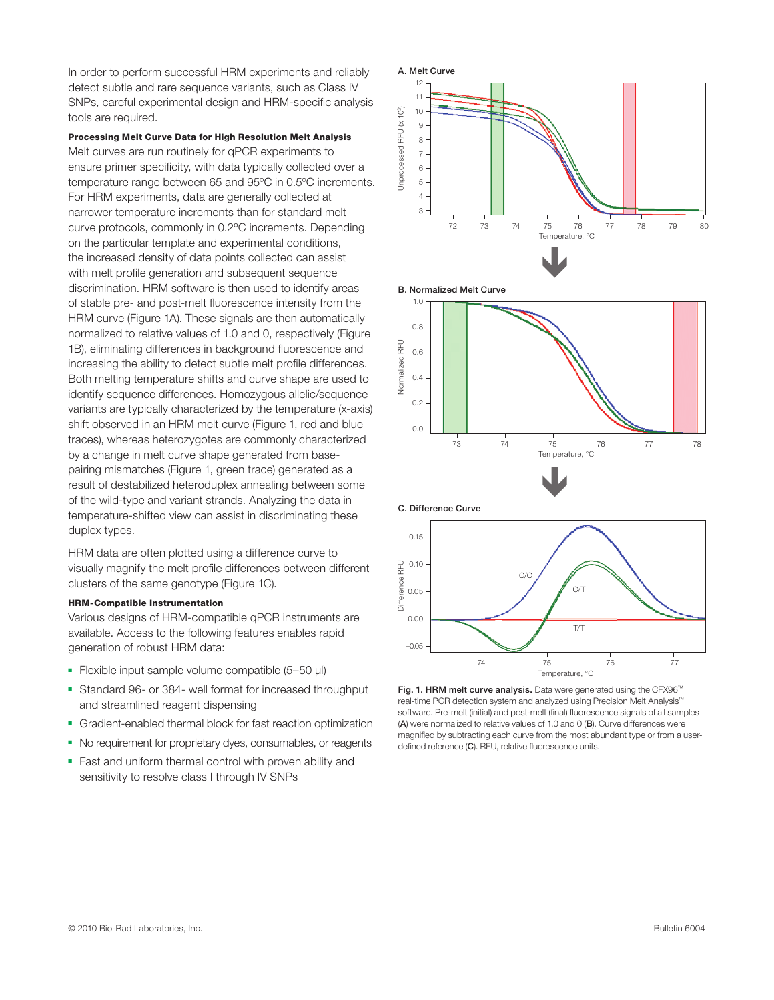In order to perform successful HRM experiments and reliably detect subtle and rare sequence variants, such as Class IV SNPs, careful experimental design and HRM-specific analysis tools are required.

Processing Melt Curve Data for High Resolution Melt Analysis Melt curves are run routinely for qPCR experiments to ensure primer specificity, with data typically collected over a temperature range between 65 and 95ºC in 0.5ºC increments. For HRM experiments, data are generally collected at narrower temperature increments than for standard melt curve protocols, commonly in 0.2ºC increments. Depending on the particular template and experimental conditions, the increased density of data points collected can assist with melt profile generation and subsequent sequence discrimination. HRM software is then used to identify areas of stable pre- and post-melt fluorescence intensity from the HRM curve (Figure 1A). These signals are then automatically normalized to relative values of 1.0 and 0, respectively (Figure 1B), eliminating differences in background fluorescence and increasing the ability to detect subtle melt profile differences. Both melting temperature shifts and curve shape are used to identify sequence differences. Homozygous allelic/sequence variants are typically characterized by the temperature (x-axis) shift observed in an HRM melt curve (Figure 1, red and blue traces), whereas heterozygotes are commonly characterized by a change in melt curve shape generated from basepairing mismatches (Figure 1, green trace) generated as a result of destabilized heteroduplex annealing between some of the wild-type and variant strands. Analyzing the data in temperature-shifted view can assist in discriminating these duplex types.

HRM data are often plotted using a difference curve to visually magnify the melt profile differences between different clusters of the same genotype (Figure 1C).

#### HRM-Compatible Instrumentation

Various designs of HRM-compatible qPCR instruments are available. Access to the following features enables rapid generation of robust HRM data:

- Flexible input sample volume compatible (5–50 µl)
- Standard 96- or 384- well format for increased throughput and streamlined reagent dispensing
- Gradient-enabled thermal block for fast reaction optimization
- No requirement for proprietary dyes, consumables, or reagents
- Fast and uniform thermal control with proven ability and sensitivity to resolve class I through IV SNPs







Fig. 1. HRM melt curve analysis. Data were generated using the CFX96™ real-time PCR detection system and analyzed using Precision Melt Analysis™ software. Pre-melt (initial) and post-melt (final) fluorescence signals of all samples (A) were normalized to relative values of 1.0 and 0 (B). Curve differences were magnified by subtracting each curve from the most abundant type or from a userdefined reference (C). RFU, relative fluorescence units.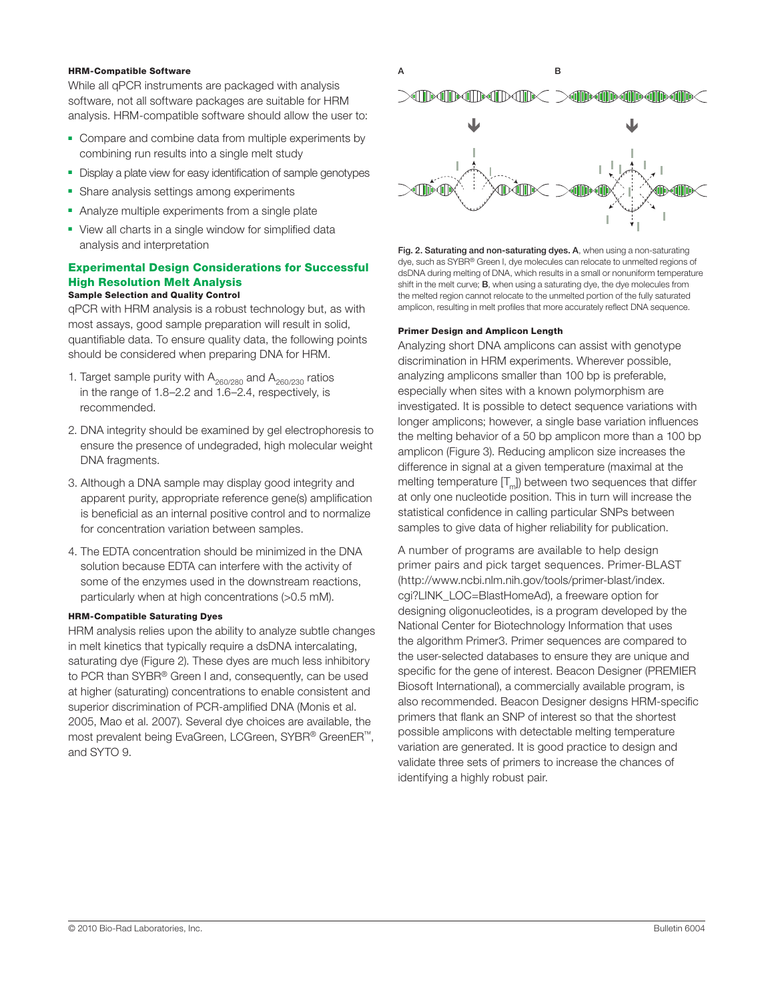While all qPCR instruments are packaged with analysis software, not all software packages are suitable for HRM analysis. HRM-compatible software should allow the user to:

- Compare and combine data from multiple experiments by combining run results into a single melt study
- Display a plate view for easy identification of sample genotypes
- Share analysis settings among experiments
- Analyze multiple experiments from a single plate
- View all charts in a single window for simplified data analysis and interpretation

#### Experimental Design Considerations for Successful High Resolution Melt Analysis Sample Selection and Quality Control

qPCR with HRM analysis is a robust technology but, as with most assays, good sample preparation will result in solid, quantifiable data. To ensure quality data, the following points should be considered when preparing DNA for HRM.

- 1. Target sample purity with  $A_{260/280}$  and  $A_{260/230}$  ratios in the range of 1.8–2.2 and 1.6–2.4, respectively, is recommended.
- 2. DNA integrity should be examined by gel electrophoresis to ensure the presence of undegraded, high molecular weight DNA fragments.
- 3. Although a DNA sample may display good integrity and apparent purity, appropriate reference gene(s) amplification is beneficial as an internal positive control and to normalize for concentration variation between samples.
- 4. The EDTA concentration should be minimized in the DNA solution because EDTA can interfere with the activity of some of the enzymes used in the downstream reactions, particularly when at high concentrations (>0.5 mM).

#### HRM-Compatible Saturating Dyes

HRM analysis relies upon the ability to analyze subtle changes in melt kinetics that typically require a dsDNA intercalating, saturating dye (Figure 2). These dyes are much less inhibitory to PCR than SYBR® Green I and, consequently, can be used at higher (saturating) concentrations to enable consistent and superior discrimination of PCR-amplified DNA (Monis et al. 2005, Mao et al. 2007). Several dye choices are available, the most prevalent being EvaGreen, LCGreen, SYBR® GreenER™, and SYTO 9.



Fig. 2. Saturating and non-saturating dyes. A, when using a non-saturating dye, such as SYBR® Green I, dye molecules can relocate to unmelted regions of dsDNA during melting of DNA, which results in a small or nonuniform temperature shift in the melt curve; B, when using a saturating dye, the dye molecules from the melted region cannot relocate to the unmelted portion of the fully saturated amplicon, resulting in melt profiles that more accurately reflect DNA sequence.

#### Primer Design and Amplicon Length

Analyzing short DNA amplicons can assist with genotype discrimination in HRM experiments. Wherever possible, analyzing amplicons smaller than 100 bp is preferable, especially when sites with a known polymorphism are investigated. It is possible to detect sequence variations with longer amplicons; however, a single base variation influences the melting behavior of a 50 bp amplicon more than a 100 bp amplicon (Figure 3). Reducing amplicon size increases the difference in signal at a given temperature (maximal at the melting temperature  $[T_m]$ ) between two sequences that differ at only one nucleotide position. This in turn will increase the statistical confidence in calling particular SNPs between samples to give data of higher reliability for publication.

A number of programs are available to help design primer pairs and pick target sequences. Primer-BLAST (http://www.ncbi.nlm.nih.gov/tools/primer-blast/index. cgi?LINK\_LOC=BlastHomeAd), a freeware option for designing oligonucleotides, is a program developed by the National Center for Biotechnology Information that uses the algorithm Primer3. Primer sequences are compared to the user-selected databases to ensure they are unique and specific for the gene of interest. Beacon Designer (PREMIER Biosoft International), a commercially available program, is also recommended. Beacon Designer designs HRM-specific primers that flank an SNP of interest so that the shortest possible amplicons with detectable melting temperature variation are generated. It is good practice to design and validate three sets of primers to increase the chances of identifying a highly robust pair.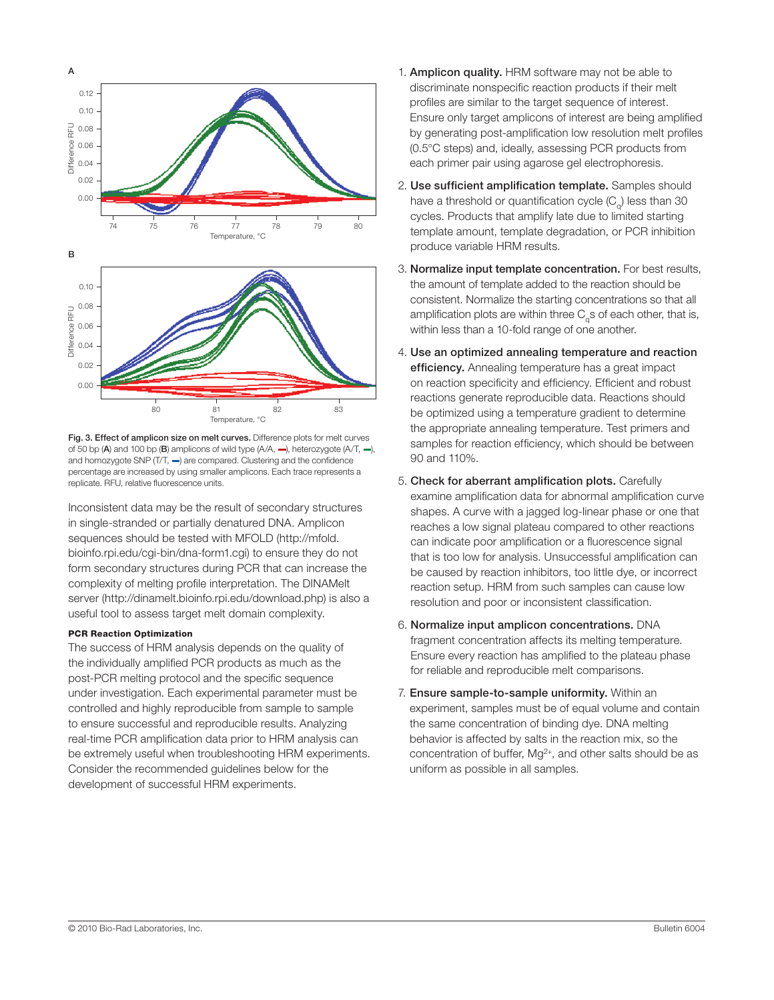

Fig. 3. Effect of amplicon size on melt curves. Difference plots for melt curves of 50 bp (A) and 100 bp (B) amplicons of wild type (A/A, —), heterozygote (A/T, —), and homozygote SNP (T/T, —) are compared. Clustering and the confidence percentage are increased by using smaller amplicons. Each trace represents a replicate. RFU, relative fluorescence units.

Inconsistent data may be the result of secondary structures in single-stranded or partially denatured DNA. Amplicon sequences should be tested with MFOLD (http://mfold. bioinfo.rpi.edu/cgi-bin/dna-form1.cgi) to ensure they do not form secondary structures during PCR that can increase the complexity of melting profile interpretation. The DINAMelt server (http://dinamelt.bioinfo.rpi.edu/download.php) is also a useful tool to assess target melt domain complexity.

#### PCR Reaction Optimization

The success of HRM analysis depends on the quality of the individually amplified PCR products as much as the post-PCR melting protocol and the specific sequence under investigation. Each experimental parameter must be controlled and highly reproducible from sample to sample to ensure successful and reproducible results. Analyzing real-time PCR amplification data prior to HRM analysis can be extremely useful when troubleshooting HRM experiments. Consider the recommended guidelines below for the development of successful HRM experiments.

- 1. Amplicon quality. HRM software may not be able to discriminate nonspecific reaction products if their melt profiles are similar to the target sequence of interest. Ensure only target amplicons of interest are being amplified by generating post-amplification low resolution melt profiles (0.5°C steps) and, ideally, assessing PCR products from each primer pair using agarose gel electrophoresis.
- 2. Use sufficient amplification template. Samples should have a threshold or quantification cycle  $(C_{q})$  less than 30 cycles. Products that amplify late due to limited starting template amount, template degradation, or PCR inhibition produce variable HRM results.
- 3. Normalize input template concentration. For best results, the amount of template added to the reaction should be consistent. Normalize the starting concentrations so that all amplification plots are within three  $C_{\alpha}$ s of each other, that is, within less than a 10-fold range of one another.
- 4. Use an optimized annealing temperature and reaction efficiency. Annealing temperature has a great impact on reaction specificity and efficiency. Efficient and robust reactions generate reproducible data. Reactions should be optimized using a temperature gradient to determine the appropriate annealing temperature. Test primers and samples for reaction efficiency, which should be between 90 and 110%.
- 5. Check for aberrant amplification plots. Carefully examine amplification data for abnormal amplification curve shapes. A curve with a jagged log-linear phase or one that reaches a low signal plateau compared to other reactions can indicate poor amplification or a fluorescence signal that is too low for analysis. Unsuccessful amplification can be caused by reaction inhibitors, too little dye, or incorrect reaction setup. HRM from such samples can cause low resolution and poor or inconsistent classification.
- 6. Normalize input amplicon concentrations. DNA fragment concentration affects its melting temperature. Ensure every reaction has amplified to the plateau phase for reliable and reproducible melt comparisons.
- 7. Ensure sample-to-sample uniformity. Within an experiment, samples must be of equal volume and contain the same concentration of binding dye. DNA melting behavior is affected by salts in the reaction mix, so the concentration of buffer,  $Mq^{2+}$ , and other salts should be as uniform as possible in all samples.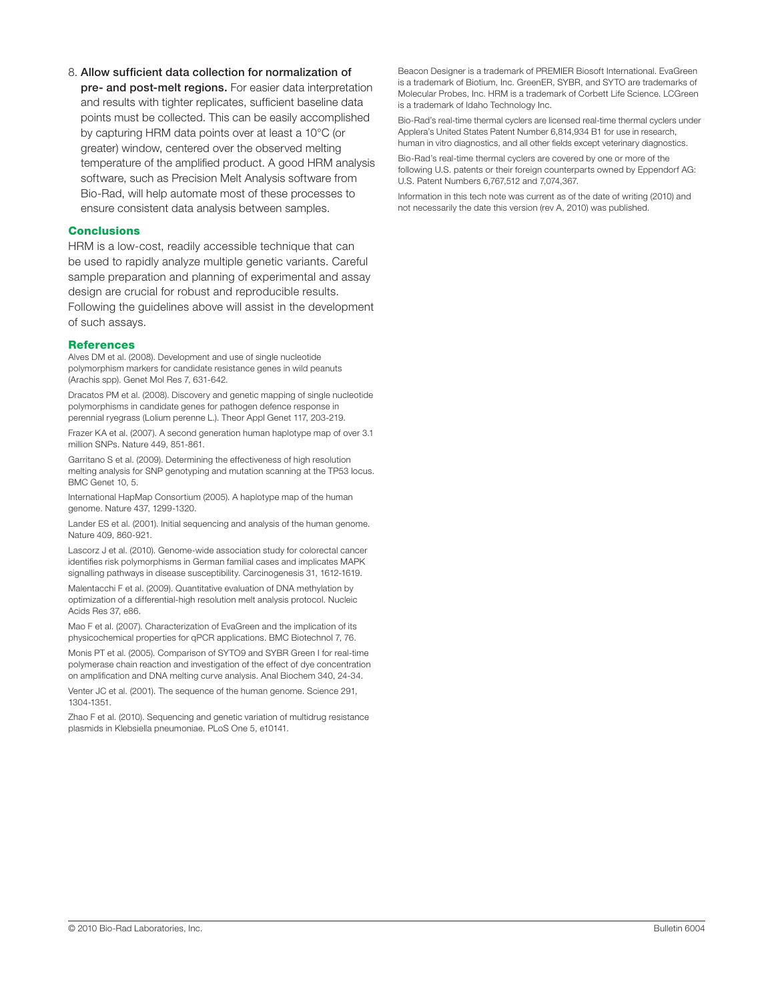by capturing HRM data points over at least a 10°C (or greater) window, centered over the observed melting temperature of the amplified product. A good HRM analysis software, such as Precision Melt Analysis software from Bio-Rad, will help automate most of these processes to ensure consistent data analysis between samples.

8. Allow sufficient data collection for normalization of pre- and post-melt regions. For easier data interpretation and results with tighter replicates, sufficient baseline data

#### **Conclusions**

HRM is a low-cost, readily accessible technique that can be used to rapidly analyze multiple genetic variants. Careful sample preparation and planning of experimental and assay design are crucial for robust and reproducible results. Following the guidelines above will assist in the development of such assays.

#### **References**

Alves DM et al. (2008). Development and use of single nucleotide polymorphism markers for candidate resistance genes in wild peanuts (Arachis spp). Genet Mol Res 7, 631-642.

Dracatos PM et al. (2008). Discovery and genetic mapping of single nucleotide polymorphisms in candidate genes for pathogen defence response in perennial ryegrass (Lolium perenne L.). Theor Appl Genet 117, 203-219.

Frazer KA et al. (2007). A second generation human haplotype map of over 3.1 million SNPs. Nature 449, 851-861.

Garritano S et al. (2009). Determining the effectiveness of high resolution melting analysis for SNP genotyping and mutation scanning at the TP53 locus. BMC Genet 10, 5.

International HapMap Consortium (2005). A haplotype map of the human genome. Nature 437, 1299-1320.

Lander ES et al. (2001). Initial sequencing and analysis of the human genome. Nature 409, 860-921.

Lascorz J et al. (2010). Genome-wide association study for colorectal cancer identifies risk polymorphisms in German familial cases and implicates MAPK signalling pathways in disease susceptibility. Carcinogenesis 31, 1612-1619.

Malentacchi F et al. (2009). Quantitative evaluation of DNA methylation by optimization of a differential-high resolution melt analysis protocol. Nucleic Acids Res 37, e86.

Mao F et al. (2007). Characterization of EvaGreen and the implication of its physicochemical properties for qPCR applications. BMC Biotechnol 7, 76.

Monis PT et al. (2005). Comparison of SYTO9 and SYBR Green I for real-time polymerase chain reaction and investigation of the effect of dye concentration on amplification and DNA melting curve analysis. Anal Biochem 340, 24-34.

Venter JC et al. (2001). The sequence of the human genome. Science 291, 1304-1351.

Zhao F et al. (2010). Sequencing and genetic variation of multidrug resistance plasmids in Klebsiella pneumoniae. PLoS One 5, e10141.

Beacon Designer is a trademark of PREMIER Biosoft International. EvaGreen is a trademark of Biotium, Inc. GreenER, SYBR, and SYTO are trademarks of Molecular Probes, Inc. HRM is a trademark of Corbett Life Science. LCGreen is a trademark of Idaho Technology Inc.

Bio-Rad's real-time thermal cyclers are licensed real-time thermal cyclers under Applera's United States Patent Number 6,814,934 B1 for use in research, human in vitro diagnostics, and all other fields except veterinary diagnostics.

Bio-Rad's real-time thermal cyclers are covered by one or more of the following U.S. patents or their foreign counterparts owned by Eppendorf AG: U.S. Patent Numbers 6,767,512 and 7,074,367.

Information in this tech note was current as of the date of writing (2010) and not necessarily the date this version (rev A, 2010) was published.